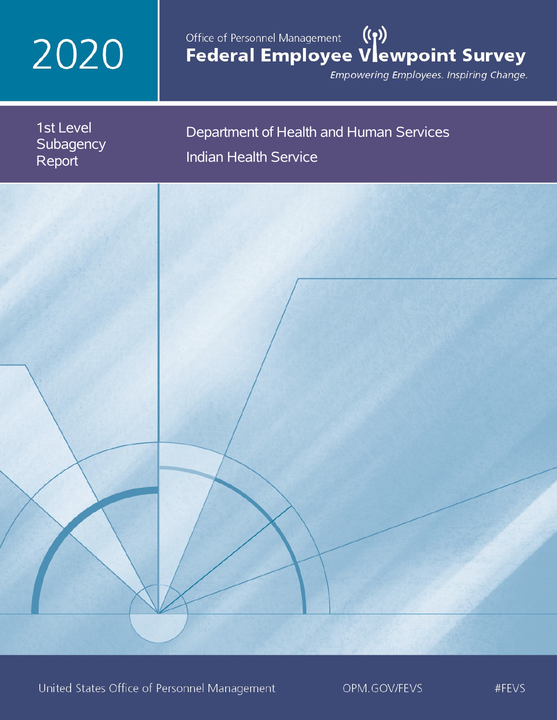# 2020

# Office of Personnel Management (())<br>Federal Employee Vlewpoint Survey

Empowering Employees. Inspiring Change.



United States Office of Personnel Management

OPM.GOV/FEVS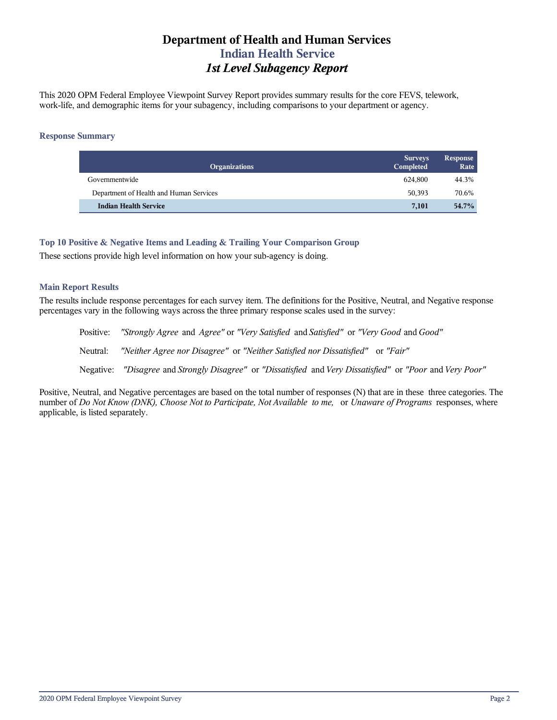# **Department of Health and Human Services Indian Health Service** *1st Level Subagency Report*

This 2020 OPM Federal Employee Viewpoint Survey Report provides summary results for the core FEVS, telework, work-life, and demographic items for your subagency, including comparisons to your department or agency.

#### **Response Summary**

| <b>Organizations</b>                    | <b>Surveys</b><br>Completed | Response<br>Rate |
|-----------------------------------------|-----------------------------|------------------|
| Governmentwide                          | 624.800                     | 44.3%            |
| Department of Health and Human Services | 50,393                      | 70.6%            |
| <b>Indian Health Service</b>            | 7.101                       | 54.7%            |

### **Top 10 Positive & Negative Items and Leading & Trailing Your Comparison Group**

These sections provide high level information on how your sub-agency is doing.

#### **Main Report Results**

The results include response percentages for each survey item. The definitions for the Positive, Neutral, and Negative response percentages vary in the following ways across the three primary response scales used in the survey:

Positive: *"Strongly Agree* and *Agree"* or *"Very Satisfied* and *Satisfied"* or *"Very Good* and *Good"* Neutral: *"Neither Agree nor Disagree"* or *"Neither Satisfied nor Dissatisfied"* or *"Fair"* Negative: *"Disagree* and *Strongly Disagree"* or *"Dissatisfied* and *Very Dissatisfied"* or *"Poor* and *Very Poor"*

Positive, Neutral, and Negative percentages are based on the total number of responses (N) that are in these three categories. The number of *Do Not Know (DNK), Choose Not to Participate, Not Available to me,* or *Unaware of Programs* responses, where applicable, is listed separately.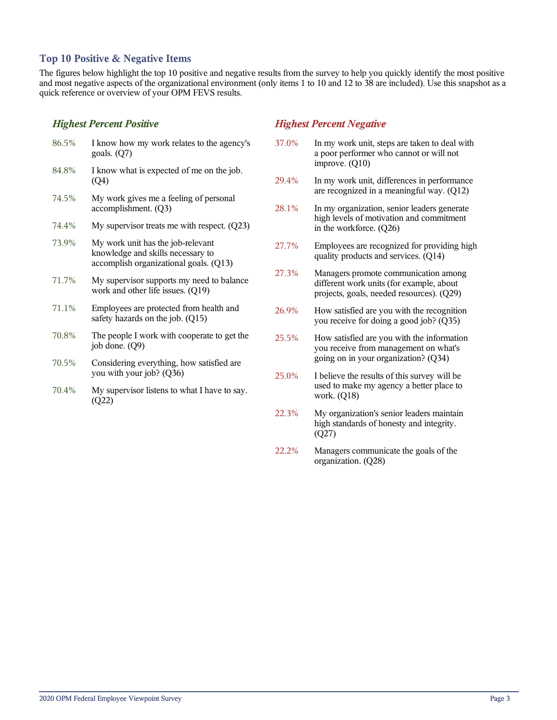## **Top 10 Positive & Negative Items**

The figures below highlight the top 10 positive and negative results from the survey to help you quickly identify the most positive and most negative aspects of the organizational environment (only items 1 to 10 and 12 to 38 are included). Use this snapshot as a quick reference or overview of your OPM FEVS results.

## *Highest Percent Positive*

| 86.5% | I know how my work relates to the agency's<br>goals. $(Q7)$                                                      |
|-------|------------------------------------------------------------------------------------------------------------------|
| 84.8% | I know what is expected of me on the job.<br>(Q4)                                                                |
| 74.5% | My work gives me a feeling of personal<br>accomplishment. (Q3)                                                   |
| 74.4% | My supervisor treats me with respect. $(Q23)$                                                                    |
| 73.9% | My work unit has the job-relevant<br>knowledge and skills necessary to<br>accomplish organizational goals. (Q13) |
| 71.7% | My supervisor supports my need to balance<br>work and other life issues. (Q19)                                   |
| 71.1% | Employees are protected from health and<br>safety hazards on the job. (Q15)                                      |
| 70.8% | The people I work with cooperate to get the<br>job done. (Q9)                                                    |
| 70.5% | Considering everything, how satisfied are<br>you with your job? (Q36)                                            |

70.4% My supervisor listens to what I have to say. (Q22)

## *Highest Percent Negative*

- 37.0% In my work unit, steps are taken to deal with a poor performer who cannot or will not improve. (Q10)
- 29.4% In my work unit, differences in performance are recognized in a meaningful way. (Q12)
- 28.1% In my organization, senior leaders generate high levels of motivation and commitment in the workforce. (Q26)
- 27.7% Employees are recognized for providing high quality products and services. (Q14)
- 27.3% Managers promote communication among different work units (for example, about projects, goals, needed resources). (Q29)
- 26.9% How satisfied are you with the recognition you receive for doing a good job? (Q35)
- 25.5% How satisfied are you with the information you receive from management on what's going on in your organization? (Q34)
- 25.0% I believe the results of this survey will be used to make my agency a better place to work. (Q18)
- 22.3% My organization's senior leaders maintain high standards of honesty and integrity. (Q27)
- 22.2% Managers communicate the goals of the organization. (Q28)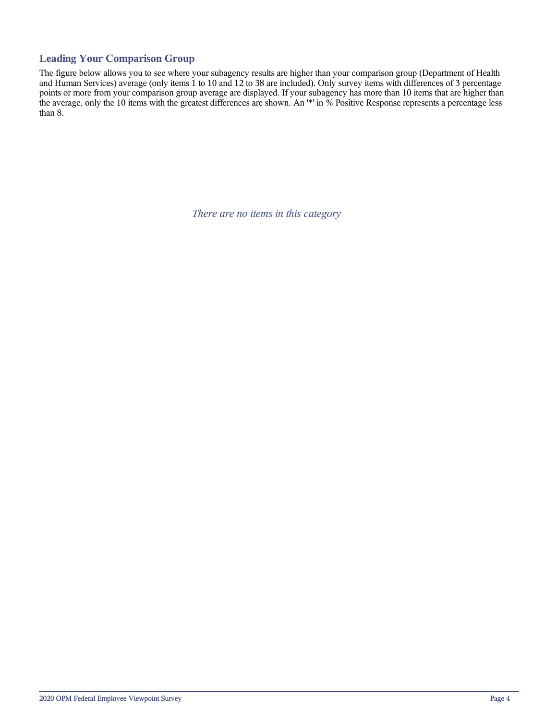## **Leading Your Comparison Group**

The figure below allows you to see where your subagency results are higher than your comparison group (Department of Health and Human Services) average (only items 1 to 10 and 12 to 38 are included). Only survey items with differences of 3 percentage points or more from your comparison group average are displayed. If your subagency has more than 10 items that are higher than the average, only the 10 items with the greatest differences are shown. An '\*' in % Positive Response represents a percentage less than 8.

*There are no items in this category*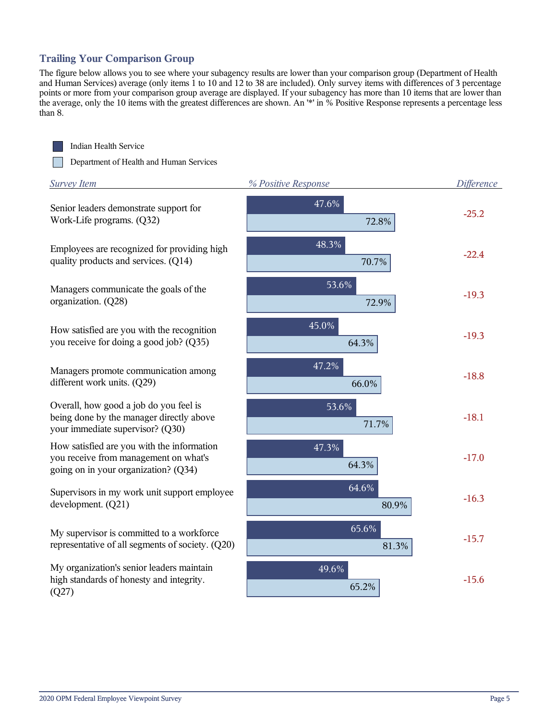## **Trailing Your Comparison Group**

The figure below allows you to see where your subagency results are lower than your comparison group (Department of Health and Human Services) average (only items 1 to 10 and 12 to 38 are included). Only survey items with differences of 3 percentage points or more from your comparison group average are displayed. If your subagency has more than 10 items that are lower than the average, only the 10 items with the greatest differences are shown. An '\*' in % Positive Response represents a percentage less than 8.



Indian Health Service

Department of Health and Human Services

| <b>Survey Item</b>                                                                                                          | % Positive Response | <b>Difference</b> |
|-----------------------------------------------------------------------------------------------------------------------------|---------------------|-------------------|
| Senior leaders demonstrate support for<br>Work-Life programs. (Q32)                                                         | 47.6%<br>72.8%      | $-25.2$           |
| Employees are recognized for providing high<br>quality products and services. (Q14)                                         | 48.3%<br>70.7%      | $-22.4$           |
| Managers communicate the goals of the<br>organization. (Q28)                                                                | 53.6%<br>72.9%      | $-19.3$           |
| How satisfied are you with the recognition<br>you receive for doing a good job? (Q35)                                       | 45.0%<br>64.3%      | $-19.3$           |
| Managers promote communication among<br>different work units. (Q29)                                                         | 47.2%<br>66.0%      | $-18.8$           |
| Overall, how good a job do you feel is<br>being done by the manager directly above<br>your immediate supervisor? (Q30)      | 53.6%<br>71.7%      | $-18.1$           |
| How satisfied are you with the information<br>you receive from management on what's<br>going on in your organization? (Q34) | 47.3%<br>64.3%      | $-17.0$           |
| Supervisors in my work unit support employee<br>development. (Q21)                                                          | 64.6%<br>80.9%      | $-16.3$           |
| My supervisor is committed to a workforce<br>representative of all segments of society. (Q20)                               | 65.6%<br>81.3%      | $-15.7$           |
| My organization's senior leaders maintain<br>high standards of honesty and integrity.<br>(Q27)                              | 49.6%<br>65.2%      | $-15.6$           |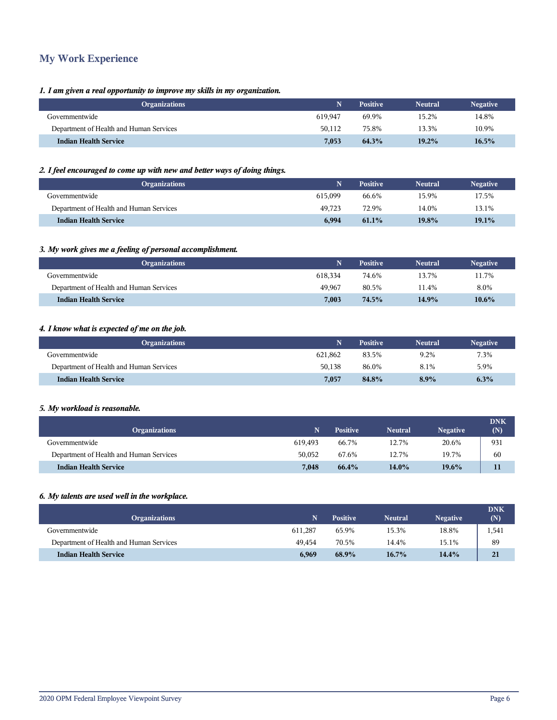# **My Work Experience**

#### *1. I am given a real opportunity to improve my skills in my organization.*

| <b>Organizations</b>                    |         | <b>Positive</b> | <b>Neutral</b> | <b>Negative</b> |
|-----------------------------------------|---------|-----------------|----------------|-----------------|
| Governmentwide                          | 619.947 | 69.9%           | 15.2%          | 14.8%           |
| Department of Health and Human Services | 50.112  | 75.8%           | 13.3%          | 10.9%           |
| <b>Indian Health Service</b>            | 7,053   | 64.3%           | 19.2%          | 16.5%           |

## *2. I feel encouraged to come up with new and better ways of doing things.*

| <b>Organizations</b>                    |         | <b>Positive</b> | <b>Neutral</b> | <b>Negative</b> |
|-----------------------------------------|---------|-----------------|----------------|-----------------|
| Governmentwide                          | 615.099 | 66.6%           | 15.9%          | 17.5%           |
| Department of Health and Human Services | 49.723  | 72.9%           | 14.0%          | 13.1%           |
| <b>Indian Health Service</b>            | 6,994   | 61.1%           | 19.8%          | 19.1%           |

## *3. My work gives me a feeling of personal accomplishment.*

| <b>Organizations</b>                    |         | <b>Positive</b> | <b>Neutral</b> | <b>Negative</b> |
|-----------------------------------------|---------|-----------------|----------------|-----------------|
| Governmentwide                          | 618.334 | 74.6%           | 13.7%          | 11.7%           |
| Department of Health and Human Services | 49,967  | 80.5%           | 11.4%          | 8.0%            |
| <b>Indian Health Service</b>            | 7.003   | 74.5%           | 14.9%          | $10.6\%$        |

#### *4. I know what is expected of me on the job.*

| <b>Organizations</b>                    |         | <b>Positive</b> | <b>Neutral</b> | Negative |
|-----------------------------------------|---------|-----------------|----------------|----------|
| Governmentwide                          | 621.862 | 83.5%           | 9.2%           | 7.3%     |
| Department of Health and Human Services | 50.138  | 86.0%           | 8.1%           | 5.9%     |
| <b>Indian Health Service</b>            | 7.057   | 84.8%           | $8.9\%$        | 6.3%     |

#### *5. My workload is reasonable.*

| <b>Organizations</b>                    |         | <b>Positive</b> | <b>Neutral</b> | <b>Negative</b> | <b>DNK</b><br>(N) |
|-----------------------------------------|---------|-----------------|----------------|-----------------|-------------------|
| Governmentwide                          | 619.493 | 66.7%           | 12.7%          | 20.6%           | 931               |
| Department of Health and Human Services | 50.052  | 67.6%           | 12.7%          | 19.7%           | 60                |
| <b>Indian Health Service</b>            | 7,048   | 66.4%           | 14.0%          | 19.6%           |                   |

#### *6. My talents are used well in the workplace.*

| <b>Organizations</b>                    |         | <b>Positive</b> | <b>Neutral</b> | <b>Negative</b> | <b>DNK</b><br>(N) |
|-----------------------------------------|---------|-----------------|----------------|-----------------|-------------------|
| Governmentwide                          | 611.287 | 65.9%           | 15.3%          | 18.8%           | 1,541             |
| Department of Health and Human Services | 49.454  | 70.5%           | 14.4%          | 15.1%           | 89                |
| <b>Indian Health Service</b>            | 6,969   | 68.9%           | $16.7\%$       | 14.4%           | 21                |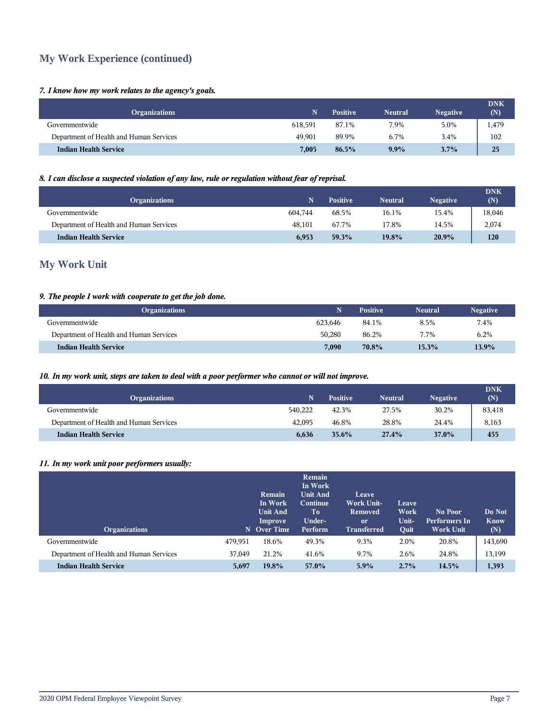# **My Work Experience (continued)**

#### *7. I know how my work relates to the agency's goals.*

| <b>Organizations</b>                    |         | <b>Positive</b> | <b>Neutral</b> | <b>Negative</b> | <b>DNK</b><br>(N) |
|-----------------------------------------|---------|-----------------|----------------|-----------------|-------------------|
| Governmentwide                          | 618.591 | 87.1%           | 7.9%           | 5.0%            | 1,479             |
| Department of Health and Human Services | 49.901  | 89.9%           | 6.7%           | 3.4%            | 102               |
| <b>Indian Health Service</b>            | 7,005   | 86.5%           | $9.9\%$        | 3.7%            | 25                |

## *8. I can disclose a suspected violation of any law, rule or regulation without fear of reprisal.*

| <b>Organizations</b>                    |         | Positive | Neutral | <b>Negative</b> | <b>DNK</b><br>(N) |
|-----------------------------------------|---------|----------|---------|-----------------|-------------------|
| Governmentwide                          | 604.744 | 68.5%    | 16.1%   | 15.4%           | 18,046            |
| Department of Health and Human Services | 48.101  | 67.7%    | 17.8%   | 14.5%           | 2,074             |
| <b>Indian Health Service</b>            | 6,953   | 59.3%    | 19.8%   | 20.9%           | 120               |

# **My Work Unit**

## *9. The people I work with cooperate to get the job done.*

| <b>Organizations</b>                    |         | <b>Positive</b> | <b>Neutral</b> | <b>Negative</b> |
|-----------------------------------------|---------|-----------------|----------------|-----------------|
| Governmentwide                          | 623.646 | 84.1%           | 8.5%           | 7.4%            |
| Department of Health and Human Services | 50.280  | 86.2%           | 7.7%           | 6.2%            |
| <b>Indian Health Service</b>            | 7,090   | 70.8%           | 15.3%          | $13.9\%$        |

#### *10. In my work unit, steps are taken to deal with a poor performer who cannot or will not improve.*

| <b>Organizations</b>                    | Ñ       | Positive | <b>Neutral</b> | <b>Negative</b> | <b>DNK</b><br>(N) |
|-----------------------------------------|---------|----------|----------------|-----------------|-------------------|
| Governmentwide                          | 540.222 | 42.3%    | 27.5%          | 30.2%           | 83,418            |
| Department of Health and Human Services | 42.095  | 46.8%    | 28.8%          | 24.4%           | 8,163             |
| <b>Indian Health Service</b>            | 6.636   | $35.6\%$ | 27.4%          | 37.0%           | 455               |

#### *11. In my work unit poor performers usually:*

| <b>Organizations</b>                    |         | Remain<br>In Work<br><b>Unit And</b><br>Improve<br>N Over Time | Remain<br>In Work<br><b>Unit And</b><br><b>Continue</b><br>To<br>Under-<br>Perform | Leave<br><b>Work Unit-</b><br><b>Removed</b><br><sub>or</sub><br><b>Transferred</b> | Leave<br>Work<br>Unit-<br>Quit | No Poor<br>Performers In<br><b>Work Unit</b> | Do Not<br><b>Know</b><br>(N) |
|-----------------------------------------|---------|----------------------------------------------------------------|------------------------------------------------------------------------------------|-------------------------------------------------------------------------------------|--------------------------------|----------------------------------------------|------------------------------|
| Governmentwide                          | 479,951 | 18.6%                                                          | 49.3%                                                                              | 9.3%                                                                                | 2.0%                           | 20.8%                                        | 143,690                      |
| Department of Health and Human Services | 37,049  | 21.2%                                                          | 41.6%                                                                              | 9.7%                                                                                | 2.6%                           | 24.8%                                        | 13,199                       |
| <b>Indian Health Service</b>            | 5,697   | 19.8%                                                          | 57.0%                                                                              | $5.9\%$                                                                             | 2.7%                           | 14.5%                                        | 1,393                        |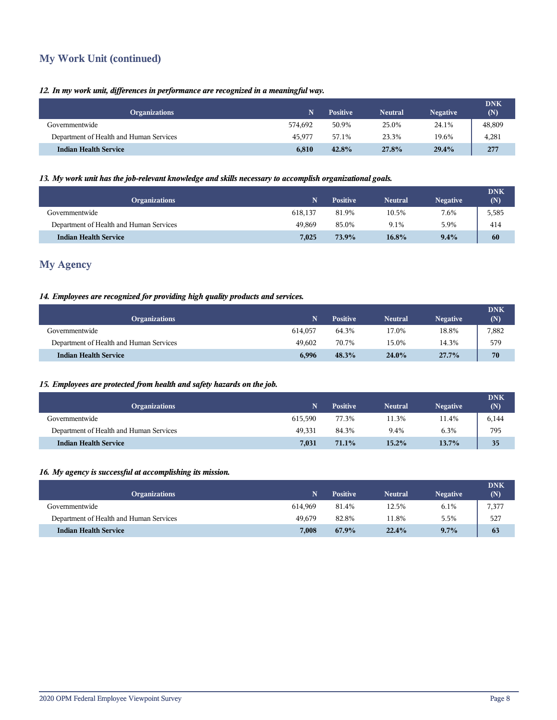# **My Work Unit (continued)**

### *12. In my work unit, differences in performance are recognized in a meaningful way.*

| <b>Organizations</b>                    |         | <b>Positive</b> | <b>Neutral</b> | <b>Negative</b> | <b>DNK</b><br>(N) |
|-----------------------------------------|---------|-----------------|----------------|-----------------|-------------------|
| Governmentwide                          | 574.692 | 50.9%           | 25.0%          | 24.1%           | 48,809            |
| Department of Health and Human Services | 45.977  | 57.1%           | 23.3%          | 19.6%           | 4,281             |
| <b>Indian Health Service</b>            | 6.810   | 42.8%           | 27.8%          | 29.4%           | 277               |

#### *13. My work unit has the job-relevant knowledge and skills necessary to accomplish organizational goals.*

| <b>Organizations</b>                    |         | <b>Positive</b> | <b>Neutral</b> | <b>Negative</b> | <b>DNK</b><br>(N) |
|-----------------------------------------|---------|-----------------|----------------|-----------------|-------------------|
| Governmentwide                          | 618.137 | 81.9%           | 10.5%          | 7.6%            | 5,585             |
| Department of Health and Human Services | 49.869  | 85.0%           | 9.1%           | 5.9%            | 414               |
| <b>Indian Health Service</b>            | 7,025   | 73.9%           | 16.8%          | $9.4\%$         | 60                |

## **My Agency**

## *14. Employees are recognized for providing high quality products and services.*

| <b>Organizations</b>                    |         | <b>Positive</b> | <b>Neutral</b> | <b>Negative</b> | <b>DNK</b><br>(N) |
|-----------------------------------------|---------|-----------------|----------------|-----------------|-------------------|
| Governmentwide                          | 614.057 | 64.3%           | 17.0%          | 18.8%           | 7,882             |
| Department of Health and Human Services | 49.602  | 70.7%           | 15.0%          | 14.3%           | 579               |
| <b>Indian Health Service</b>            | 6,996   | 48.3%           | 24.0%          | 27.7%           | 70                |

## *15. Employees are protected from health and safety hazards on the job.*

| <b>Organizations</b>                    |         | <b>Positive</b> | <b>Neutral</b> | <b>Negative</b> | <b>DNK</b><br>(N) |
|-----------------------------------------|---------|-----------------|----------------|-----------------|-------------------|
| Governmentwide                          | 615.590 | 77.3%           | 11.3%          | 11.4%           | 6,144             |
| Department of Health and Human Services | 49.331  | 84.3%           | 9.4%           | 6.3%            | 795               |
| <b>Indian Health Service</b>            | 7,031   | 71.1%           | 15.2%          | 13.7%           | 35                |

## *16. My agency is successful at accomplishing its mission.*

| <b>Organizations</b>                    |         | <b>Positive</b> | <b>Neutral</b> | <b>Negative</b> | <b>DNK</b><br>(N) |
|-----------------------------------------|---------|-----------------|----------------|-----------------|-------------------|
| Governmentwide                          | 614.969 | 81.4%           | 12.5%          | 6.1%            | 7,377             |
| Department of Health and Human Services | 49.679  | 82.8%           | 11.8%          | 5.5%            | 527               |
| <b>Indian Health Service</b>            | 7,008   | 67.9%           | 22.4%          | $9.7\%$         | 63                |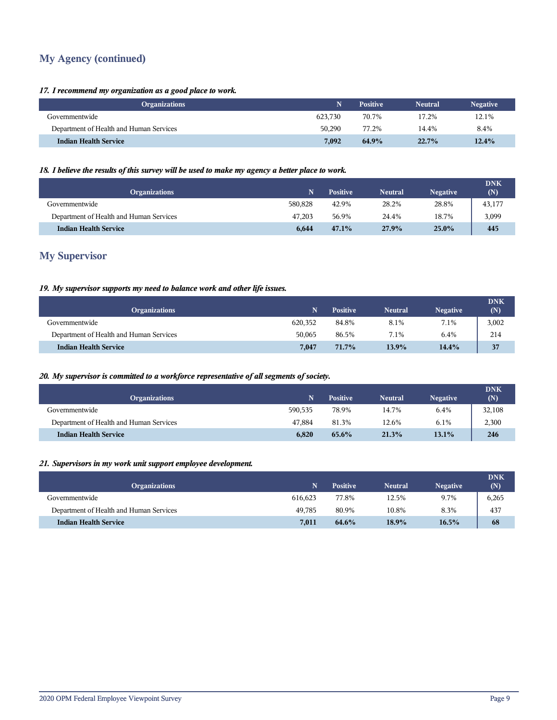# **My Agency (continued)**

#### *17. I recommend my organization as a good place to work.*

| <b>Organizations</b>                    |         | <b>Positive</b> | <b>Neutral</b> | <b>Negative</b> |
|-----------------------------------------|---------|-----------------|----------------|-----------------|
| Governmentwide                          | 623.730 | 70.7%           | 17.2%          | 12.1%           |
| Department of Health and Human Services | 50,290  | 77.2%           | 14.4%          | 8.4%            |
| <b>Indian Health Service</b>            | 7.092   | 64.9%           | 22.7%          | 12.4%           |

## *18. I believe the results of this survey will be used to make my agency a better place to work.*

| <b>Organizations</b>                    |         | <b>Positive</b> | <b>Neutral</b> | <b>Negative</b> | <b>DNK</b><br>(N) |
|-----------------------------------------|---------|-----------------|----------------|-----------------|-------------------|
| Governmentwide                          | 580,828 | 42.9%           | 28.2%          | 28.8%           | 43,177            |
| Department of Health and Human Services | 47.203  | 56.9%           | 24.4%          | 18.7%           | 3,099             |
| <b>Indian Health Service</b>            | 6.644   | 47.1%           | 27.9%          | $25.0\%$        | 445               |

## **My Supervisor**

### *19. My supervisor supports my need to balance work and other life issues.*

| <b>Organizations</b>                    |         | <b>Positive</b> | <b>Neutral</b> | <b>Negative</b> | <b>DNK</b><br>(N) |
|-----------------------------------------|---------|-----------------|----------------|-----------------|-------------------|
| Governmentwide                          | 620.352 | 84.8%           | 8.1%           | 7.1%            | 3,002             |
| Department of Health and Human Services | 50.065  | 86.5%           | 7.1%           | 6.4%            | 214               |
| <b>Indian Health Service</b>            | 7,047   | 71.7%           | 13.9%          | 14.4%           | 37                |

#### *20. My supervisor is committed to a workforce representative of all segments of society.*

| <b>Organizations</b>                    | Ñ       | <b>Positive</b> | <b>Neutral</b> | <b>Negative</b> | <b>DNK</b><br>(N) |
|-----------------------------------------|---------|-----------------|----------------|-----------------|-------------------|
| Governmentwide                          | 590.535 | 78.9%           | 14.7%          | 6.4%            | 32,108            |
| Department of Health and Human Services | 47.884  | 81.3%           | 12.6%          | 6.1%            | 2,300             |
| <b>Indian Health Service</b>            | 6,820   | 65.6%           | 21.3%          | $13.1\%$        | 246               |

## *21. Supervisors in my work unit support employee development.*

| <b>Organizations</b>                    |         | <b>Positive</b> | <b>Neutral</b> | <b>Negative</b> | <b>DNK</b><br>(N) |
|-----------------------------------------|---------|-----------------|----------------|-----------------|-------------------|
| Governmentwide                          | 616.623 | 77.8%           | 12.5%          | 9.7%            | 6,265             |
| Department of Health and Human Services | 49.785  | 80.9%           | 10.8%          | 8.3%            | 437               |
| <b>Indian Health Service</b>            | 7,011   | 64.6%           | 18.9%          | 16.5%           | 68                |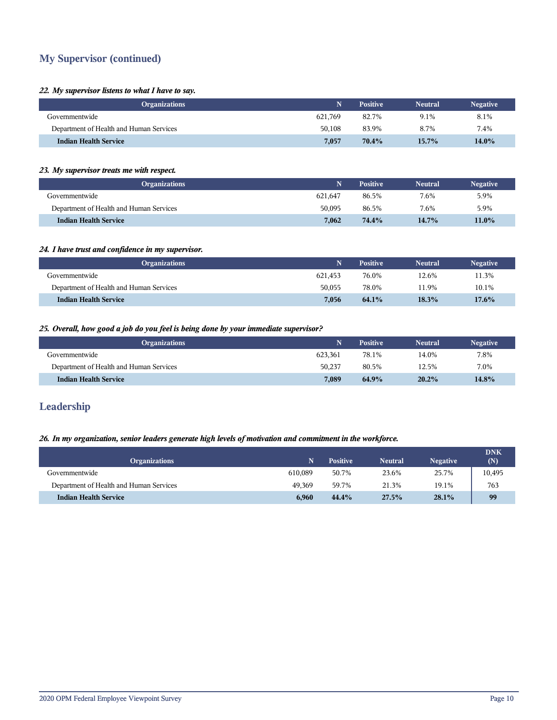# **My Supervisor (continued)**

#### *22. My supervisor listens to what I have to say.*

| <b>Organizations</b>                    |         | <b>Positive</b> | <b>Neutral</b> | <b>Negative</b> |
|-----------------------------------------|---------|-----------------|----------------|-----------------|
| Governmentwide                          | 621.769 | 82.7%           | 9.1%           | 8.1%            |
| Department of Health and Human Services | 50.108  | 83.9%           | 8.7%           | 7.4%            |
| <b>Indian Health Service</b>            | 7.057   | 70.4%           | $15.7\%$       | 14.0%           |

#### *23. My supervisor treats me with respect.*

| <b>Organizations</b>                    |         | <b>Positive</b> | <b>Neutral</b> | Negative |
|-----------------------------------------|---------|-----------------|----------------|----------|
| Governmentwide                          | 621.647 | 86.5%           | 7.6%           | 5.9%     |
| Department of Health and Human Services | 50.095  | 86.5%           | 7.6%           | 5.9%     |
| <b>Indian Health Service</b>            | 7.062   | 74.4%           | $14.7\%$       | 11.0%    |

## *24. I have trust and confidence in my supervisor.*

| <b>Organizations</b>                    |         | <b>Positive</b> | <b>Neutral</b> | <b>Negative</b> |
|-----------------------------------------|---------|-----------------|----------------|-----------------|
| Governmentwide                          | 621.453 | 76.0%           | 12.6%          | 11.3%           |
| Department of Health and Human Services | 50.055  | 78.0%           | 11.9%          | 10.1%           |
| <b>Indian Health Service</b>            | 7.056   | 64.1%           | 18.3%          | $17.6\%$        |

#### *25. Overall, how good a job do you feel is being done by your immediate supervisor?*

| <b>Organizations</b>                    |         | <b>Positive</b> | <b>Neutral</b> | <b>Negative</b> |
|-----------------------------------------|---------|-----------------|----------------|-----------------|
| Governmentwide                          | 623.361 | 78.1%           | 14.0%          | 7.8%            |
| Department of Health and Human Services | 50,237  | 80.5%           | 12.5%          | 7.0%            |
| <b>Indian Health Service</b>            | 7,089   | 64.9%           | $20.2\%$       | 14.8%           |

## **Leadership**

## *26. In my organization, senior leaders generate high levels of motivation and commitment in the workforce.*

| <b>Organizations</b>                    |         | Positive | <b>Neutral</b> | <b>Negative</b> | <b>DNK</b><br>(N) |
|-----------------------------------------|---------|----------|----------------|-----------------|-------------------|
| Governmentwide                          | 610.089 | 50.7%    | 23.6%          | 25.7%           | 10,495            |
| Department of Health and Human Services | 49.369  | 59.7%    | 21.3%          | 19.1%           | 763               |
| <b>Indian Health Service</b>            | 6,960   | 44.4%    | 27.5%          | 28.1%           | 99                |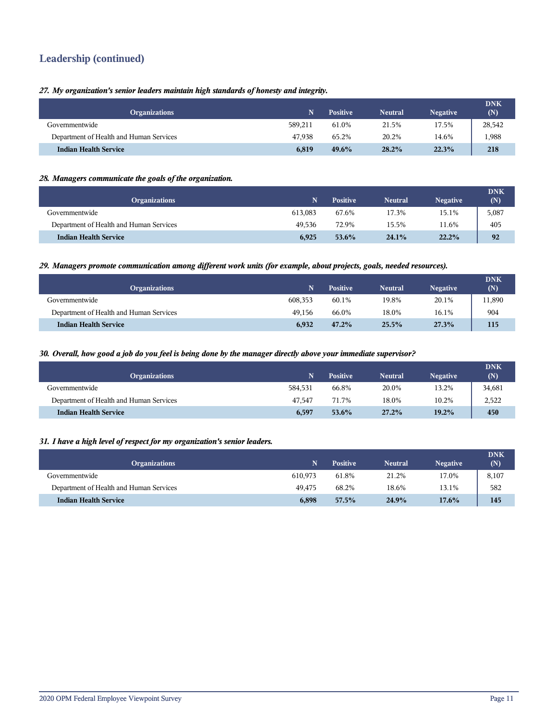# **Leadership (continued)**

*27. My organization's senior leaders maintain high standards of honesty and integrity.*

| <b>Organizations</b>                    |         | <b>Positive</b> | <b>Neutral</b> | <b>Negative</b> | <b>DNK</b><br>(N) |
|-----------------------------------------|---------|-----------------|----------------|-----------------|-------------------|
| Governmentwide                          | 589.211 | 61.0%           | 21.5%          | 17.5%           | 28,542            |
| Department of Health and Human Services | 47.938  | 65.2%           | 20.2%          | 14.6%           | ,988              |
| <b>Indian Health Service</b>            | 6.819   | $49.6\%$        | $28.2\%$       | 22.3%           | 218               |

#### *28. Managers communicate the goals of the organization.*

| <b>Organizations</b>                    |         | <b>Positive</b> | <b>Neutral</b> | <b>Negative</b> | <b>DNK</b><br>(N) |
|-----------------------------------------|---------|-----------------|----------------|-----------------|-------------------|
| Governmentwide                          | 613.083 | 67.6%           | 17.3%          | 15.1%           | 5,087             |
| Department of Health and Human Services | 49.536  | 72.9%           | 15.5%          | 11.6%           | 405               |
| <b>Indian Health Service</b>            | 6,925   | 53.6%           | 24.1%          | 22.2%           | 92                |

#### *29. Managers promote communication among different work units (for example, about projects, goals, needed resources).*

| <b>Organizations</b>                    |         | <b>Positive</b> | <b>Neutral</b> | <b>Negative</b> | <b>DNK</b><br>(N) |
|-----------------------------------------|---------|-----------------|----------------|-----------------|-------------------|
| Governmentwide                          | 608.353 | 60.1%           | 19.8%          | 20.1%           | 11,890            |
| Department of Health and Human Services | 49.156  | 66.0%           | 18.0%          | 16.1%           | 904               |
| <b>Indian Health Service</b>            | 6,932   | 47.2%           | 25.5%          | 27.3%           | 115               |

#### *30. Overall, how good a job do you feel is being done by the manager directly above your immediate supervisor?*

| <b>Organizations</b>                    |         | <b>Positive</b> | <b>Neutral</b> | <b>Negative</b> | <b>DNK</b><br>(N) |
|-----------------------------------------|---------|-----------------|----------------|-----------------|-------------------|
| Governmentwide                          | 584.531 | 66.8%           | 20.0%          | 13.2%           | 34,681            |
| Department of Health and Human Services | 47.547  | 71.7%           | 18.0%          | 10.2%           | 2,522             |
| <b>Indian Health Service</b>            | 6,597   | 53.6%           | 27.2%          | 19.2%           | 450               |

## *31. I have a high level of respect for my organization's senior leaders.*

| <b>Organizations</b>                    | N.      | <b>Positive</b> | <b>Neutral</b> | <b>Negative</b> | <b>DNK</b><br>(N) |
|-----------------------------------------|---------|-----------------|----------------|-----------------|-------------------|
| Governmentwide                          | 610.973 | 61.8%           | 21.2%          | 17.0%           | 8,107             |
| Department of Health and Human Services | 49.475  | 68.2%           | 18.6%          | 13.1%           | 582               |
| <b>Indian Health Service</b>            | 6,898   | $57.5\%$        | 24.9%          | $17.6\%$        | 145               |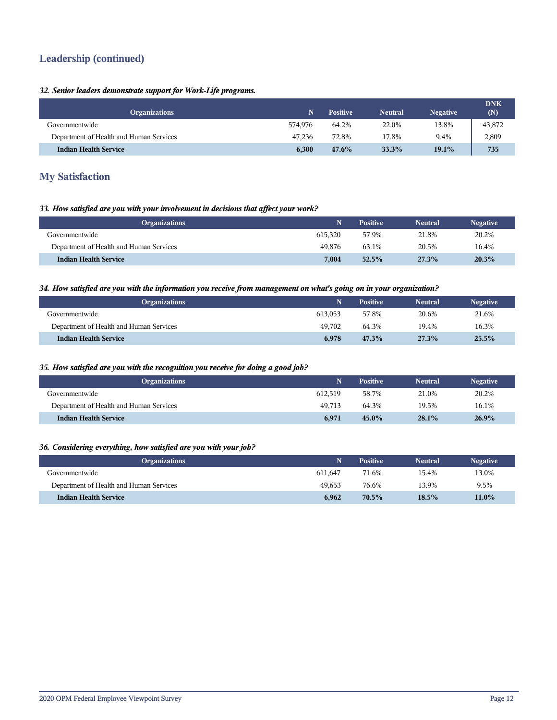# **Leadership (continued)**

## *32. Senior leaders demonstrate support for Work-Life programs.*

| <b>Organizations</b>                    |         | <b>Positive</b> | <b>Neutral</b> | <b>Negative</b> | <b>DNK</b><br>(N) |
|-----------------------------------------|---------|-----------------|----------------|-----------------|-------------------|
| Governmentwide                          | 574.976 | 64.2%           | 22.0%          | 13.8%           | 43,872            |
| Department of Health and Human Services | 47.236  | 72.8%           | 17.8%          | 9.4%            | 2,809             |
| <b>Indian Health Service</b>            | 6.300   | 47.6%           | 33.3%          | 19.1%           | 735               |

## **My Satisfaction**

#### *33. How satisfied are you with your involvement in decisions that affect your work?*

| <b>Organizations</b>                    |         | <b>Positive</b> | <b>Neutral</b> | <b>Negative</b> |
|-----------------------------------------|---------|-----------------|----------------|-----------------|
| Governmentwide                          | 615.320 | 57.9%           | 21.8%          | 20.2%           |
| Department of Health and Human Services | 49.876  | 63.1%           | 20.5%          | 16.4%           |
| <b>Indian Health Service</b>            | 7.004   | 52.5%           | 27.3%          | 20.3%           |

#### *34. How satisfied are you with the information you receive from management on what's going on in your organization?*

| <b>Organizations</b>                    |         | <b>Positive</b> | <b>Neutral</b> | <b>Negative</b> |
|-----------------------------------------|---------|-----------------|----------------|-----------------|
| Governmentwide                          | 613.053 | 57.8%           | 20.6%          | 21.6%           |
| Department of Health and Human Services | 49.702  | 64.3%           | 19.4%          | 16.3%           |
| <b>Indian Health Service</b>            | 6,978   | 47.3%           | 27.3%          | 25.5%           |

#### *35. How satisfied are you with the recognition you receive for doing a good job?*

| <b>Organizations</b>                    |         | <b>Positive</b> | <b>Neutral</b> | <b>Negative</b> |
|-----------------------------------------|---------|-----------------|----------------|-----------------|
| Governmentwide                          | 612.519 | 58.7%           | 21.0%          | 20.2%           |
| Department of Health and Human Services | 49.713  | 64.3%           | 19.5%          | 16.1%           |
| <b>Indian Health Service</b>            | 6.971   | 45.0%           | 28.1%          | 26.9%           |

## *36. Considering everything, how satisfied are you with your job?*

| <b>Organizations</b>                    |         | <b>Positive</b> | <b>Neutral</b> | <b>Negative</b> |
|-----------------------------------------|---------|-----------------|----------------|-----------------|
| Governmentwide                          | 611.647 | 71.6%           | 15.4%          | 13.0%           |
| Department of Health and Human Services | 49.653  | 76.6%           | 13.9%          | 9.5%            |
| <b>Indian Health Service</b>            | 6,962   | $70.5\%$        | 18.5%          | $11.0\%$        |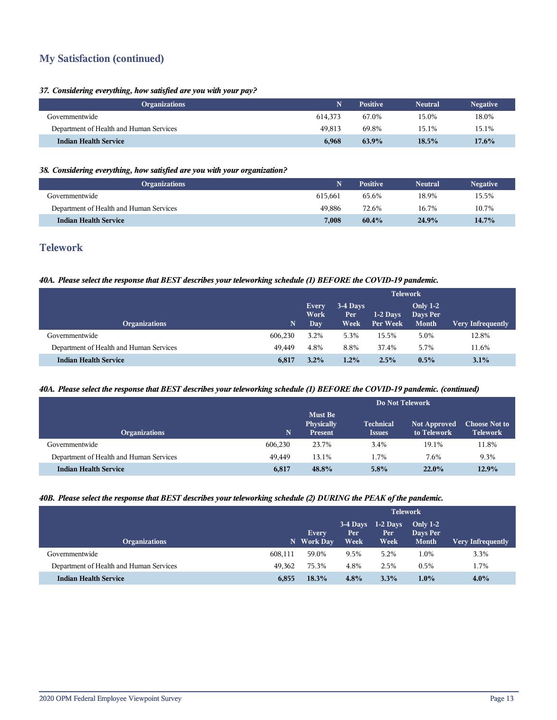# **My Satisfaction (continued)**

#### *37. Considering everything, how satisfied are you with your pay?*

|         | <b>Positive</b> | <b>Neutral</b> | <b>Negative</b> |
|---------|-----------------|----------------|-----------------|
| 614.373 | 67.0%           | 15.0%          | 18.0%           |
| 49.813  | 69.8%           | 15.1%          | 15.1%           |
| 6,968   | 63.9%           | 18.5%          | $17.6\%$        |
|         |                 |                |                 |

## *38. Considering everything, how satisfied are you with your organization?*

| <b>Organizations</b>                    |         | <b>Positive</b> | <b>Neutral</b> | <b>Negative</b> |
|-----------------------------------------|---------|-----------------|----------------|-----------------|
| Governmentwide                          | 615.661 | 65.6%           | 18.9%          | 15.5%           |
| Department of Health and Human Services | 49.886  | 72.6%           | 16.7%          | 10.7%           |
| <b>Indian Health Service</b>            | 7,008   | 60.4%           | 24.9%          | 14.7%           |

## **Telework**

## *40A. Please select the response that BEST describes your teleworking schedule (1) BEFORE the COVID-19 pandemic.*

|                                         |         | <b>Telework</b>             |                          |                      |                                        |                          |  |
|-----------------------------------------|---------|-----------------------------|--------------------------|----------------------|----------------------------------------|--------------------------|--|
| <b>Organizations</b>                    | 'N.     | Every<br>Work<br><b>Day</b> | 3-4 Days<br>Per:<br>Week | 1-2 Days<br>Per Week | Only $1-2$<br>Days Per<br><b>Month</b> | <b>Very Infrequently</b> |  |
| Governmentwide                          | 606.230 | $3.2\%$                     | 5.3%                     | 15.5%                | 5.0%                                   | 12.8%                    |  |
| Department of Health and Human Services | 49.449  | 4.8%                        | 8.8%                     | 37.4%                | 5.7%                                   | 11.6%                    |  |
| <b>Indian Health Service</b>            | 6,817   | $3.2\%$                     | $1.2\%$                  | 2.5%                 | $0.5\%$                                | $3.1\%$                  |  |

## *40A. Please select the response that BEST describes your teleworking schedule (1) BEFORE the COVID-19 pandemic. (continued)*

|                                         |         | Do Not Telework                                |                                   |                                    |                                         |  |  |
|-----------------------------------------|---------|------------------------------------------------|-----------------------------------|------------------------------------|-----------------------------------------|--|--|
| <b>Organizations</b>                    | N       | <b>Must Be</b><br>Physically<br><b>Present</b> | <b>Technical</b><br><b>Issues</b> | <b>Not Approved</b><br>to Telework | <b>Choose Not to</b><br><b>Telework</b> |  |  |
| Governmentwide                          | 606,230 | 23.7%                                          | 3.4%                              | 19.1%                              | 11.8%                                   |  |  |
| Department of Health and Human Services | 49.449  | 13.1%                                          | 1.7%                              | 7.6%                               | 9.3%                                    |  |  |
| <b>Indian Health Service</b>            | 6,817   | 48.8%                                          | 5.8%                              | $22.0\%$                           | $12.9\%$                                |  |  |

#### *40B. Please select the response that BEST describes your teleworking schedule (2) DURING the PEAK of the pandemic.*

|                                         |         |                            | <b>Telework</b>            |                            |                                        |                          |  |  |
|-----------------------------------------|---------|----------------------------|----------------------------|----------------------------|----------------------------------------|--------------------------|--|--|
| <b>Organizations</b>                    |         | <b>Every</b><br>N Work Day | $3-4$ Days<br>Per.<br>Week | $1-2$ Days<br>Per.<br>Week | Only $1-2$<br>Days Per<br><b>Month</b> | <b>Very Infrequently</b> |  |  |
| Governmentwide                          | 608.111 | 59.0%                      | 9.5%                       | 5.2%                       | 1.0%                                   | 3.3%                     |  |  |
| Department of Health and Human Services | 49.362  | 75.3%                      | 4.8%                       | 2.5%                       | 0.5%                                   | 1.7%                     |  |  |
| <b>Indian Health Service</b>            | 6,855   | 18.3%                      | 4.8%                       | 3.3%                       | $1.0\%$                                | $4.0\%$                  |  |  |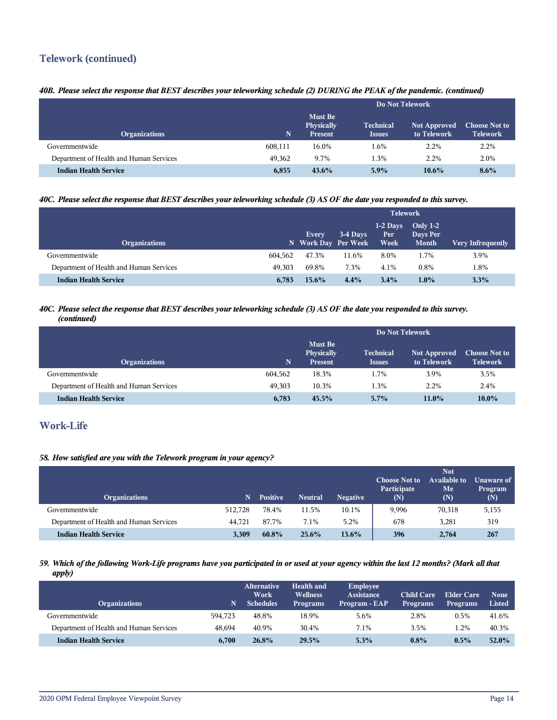# **Telework (continued)**

## *40B. Please select the response that BEST describes your teleworking schedule (2) DURING the PEAK of the pandemic. (continued)*

|                                         |         | Do Not Telework                                |                                                 |                                    |                                         |  |  |
|-----------------------------------------|---------|------------------------------------------------|-------------------------------------------------|------------------------------------|-----------------------------------------|--|--|
| <b>Organizations</b>                    | N       | <b>Must Be</b><br>Physically<br><b>Present</b> | <b>Technical</b><br><i><u><b>Issues</b></u></i> | <b>Not Approved</b><br>to Telework | <b>Choose Not to</b><br><b>Telework</b> |  |  |
| Governmentwide                          | 608,111 | 16.0%                                          | l.6%                                            | 2.2%                               | 2.2%                                    |  |  |
| Department of Health and Human Services | 49.362  | 9.7%                                           | 1.3%                                            | 2.2%                               | 2.0%                                    |  |  |
| <b>Indian Health Service</b>            | 6,855   | $43.6\%$                                       | $5.9\%$                                         | $10.6\%$                           | 8.6%                                    |  |  |

## *40C. Please select the response that BEST describes your teleworking schedule (3) AS OF the date you responded to this survey.*

| <b>Organizations</b>                    |         | Every<br>N Work Day Per Week | 3-4 Days | $1-2$ Days<br>Per<br>Week | Only $1-2$<br>Days Per<br><b>Month</b> | <b>Very Infrequently</b> |
|-----------------------------------------|---------|------------------------------|----------|---------------------------|----------------------------------------|--------------------------|
| Governmentwide                          | 604.562 | 47.3%                        | 11.6%    | 8.0%                      | 1.7%                                   | 3.9%                     |
| Department of Health and Human Services | 49.303  | 69.8%                        | 7.3%     | 4.1%                      | 0.8%                                   | 1.8%                     |
| <b>Indian Health Service</b>            | 6,783   | $15.6\%$                     | 4.4%     | $3.4\%$                   | $1.0\%$                                | 3.3%                     |

#### *40C. Please select the response that BEST describes your teleworking schedule (3) AS OF the date you responded to this survey. (continued)*

|                                         |         | Do Not Telework                         |                                   |                                    |                                         |  |
|-----------------------------------------|---------|-----------------------------------------|-----------------------------------|------------------------------------|-----------------------------------------|--|
| <b>Organizations</b>                    | N       | Must Be<br><b>Physically</b><br>Present | <b>Technical</b><br><b>Issues</b> | <b>Not Approved</b><br>to Telework | <b>Choose Not to</b><br><b>Telework</b> |  |
| Governmentwide                          | 604,562 | 18.3%                                   | 1.7%                              | 3.9%                               | 3.5%                                    |  |
| Department of Health and Human Services | 49.303  | 10.3%                                   | 1.3%                              | 2.2%                               | 2.4%                                    |  |
| <b>Indian Health Service</b>            | 6,783   | 45.5%                                   | 5.7%                              | $11.0\%$                           | $10.0\%$                                |  |

# **Work-Life**

#### *58. How satisfied are you with the Telework program in your agency?*

| <b>Organizations</b>                    |         | <b>Positive</b> | <b>Neutral</b> | <b>Negative</b> | <b>Choose Not to</b><br>Participate<br>(N) | <b>Not</b><br><b>Available to</b><br>Me<br>(N) | Unaware of<br>Program<br>(N) |
|-----------------------------------------|---------|-----------------|----------------|-----------------|--------------------------------------------|------------------------------------------------|------------------------------|
| Governmentwide                          | 512.728 | 78.4%           | 11.5%          | 10.1%           | 9,996                                      | 70,318                                         | 5,155                        |
| Department of Health and Human Services | 44.721  | 87.7%           | 7.1%           | 5.2%            | 678                                        | 3.281                                          | 319                          |
| <b>Indian Health Service</b>            | 3,309   | 60.8%           | 25.6%          | $13.6\%$        | 396                                        | 2,764                                          | 267                          |

#### *59. Which of the following Work-Life programs have you participated in or used at your agency within the last 12 months? (Mark all that apply)*

| <b>Organizations</b>                    | N       | <b>Alternative</b><br>Work<br><b>Schedules</b> | <b>Health and</b><br><b>Wellness</b><br><b>Programs</b> | Employee<br><b>Assistance</b><br>Program - EAP | <b>Child Care</b><br><b>Programs</b> | Elder Care<br><b>Programs</b> | <b>None</b><br><b>Listed</b> |
|-----------------------------------------|---------|------------------------------------------------|---------------------------------------------------------|------------------------------------------------|--------------------------------------|-------------------------------|------------------------------|
| Governmentwide                          | 594.723 | 48.8%                                          | 18.9%                                                   | 5.6%                                           | 2.8%                                 | 0.5%                          | 41.6%                        |
| Department of Health and Human Services | 48.694  | 40.9%                                          | 30.4%                                                   | 7.1%                                           | 3.5%                                 | 1.2%                          | 40.3%                        |
| <b>Indian Health Service</b>            | 6,700   | 26.8%                                          | 29.5%                                                   | $5.3\%$                                        | $0.8\%$                              | $0.5\%$                       | 52.0%                        |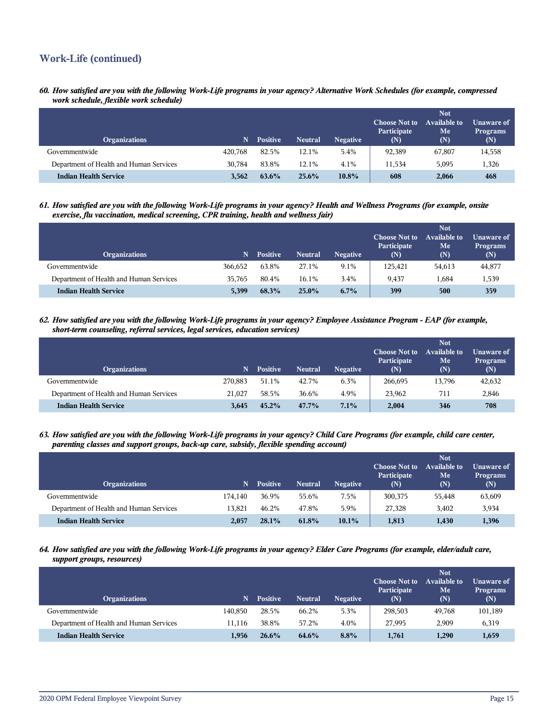# **Work-Life (continued)**

*60. How satisfied are you with the following Work-Life programs in your agency? Alternative Work Schedules (for example, compressed work schedule, flexible work schedule)*

| <b>Organizations</b>                    | N       | <b>Positive</b> | <b>Neutral</b> | <b>Negative</b> | <b>Choose Not to</b><br>Participate<br>(N) | <b>Not</b><br><b>Available to</b><br>Me<br>(N) | Unaware of<br><b>Programs</b><br>(N) |
|-----------------------------------------|---------|-----------------|----------------|-----------------|--------------------------------------------|------------------------------------------------|--------------------------------------|
| Governmentwide                          | 420.768 | 82.5%           | 12.1%          | 5.4%            | 92,389                                     | 67,807                                         | 14,558                               |
| Department of Health and Human Services | 30.784  | 83.8%           | 12.1%          | 4.1%            | 11.534                                     | 5,095                                          | 1,326                                |
| <b>Indian Health Service</b>            | 3.562   | $63.6\%$        | 25.6%          | $10.8\%$        | 608                                        | 2,066                                          | 468                                  |

#### *61. How satisfied are you with the following Work-Life programs in your agency? Health and Wellness Programs (for example, onsite exercise, flu vaccination, medical screening, CPR training, health and wellness fair)*

| <b>Organizations</b>                    | N       | <b>Positive</b> | <b>Neutral</b> | <b>Negative</b> | <b>Choose Not to</b><br>Participate<br>$(\mathbf{N})$ | <b>Not</b><br><b>Available to</b><br>Me<br>(N) | Unaware of<br><b>Programs</b><br>(N) |
|-----------------------------------------|---------|-----------------|----------------|-----------------|-------------------------------------------------------|------------------------------------------------|--------------------------------------|
| Governmentwide                          | 366.652 | 63.8%           | 27.1%          | 9.1%            | 125.421                                               | 54,613                                         | 44,877                               |
| Department of Health and Human Services | 35.765  | 80.4%           | 16.1%          | 3.4%            | 9.437                                                 | 1,684                                          | 1,539                                |
| <b>Indian Health Service</b>            | 5.399   | 68.3%           | $25.0\%$       | $6.7\%$         | 399                                                   | 500                                            | 359                                  |

#### *62. How satisfied are you with the following Work-Life programs in your agency? Employee Assistance Program - EAP (for example, short-term counseling, referral services, legal services, education services)*

| <b>Organizations</b>                    | N       | <b>Positive</b> | <b>Neutral</b> | <b>Negative</b> | <b>Choose Not to</b><br>Participate<br>(N) | <b>Not</b><br><b>Available to</b><br>Me<br>(N) | Unaware of<br><b>Programs</b><br>(N) |
|-----------------------------------------|---------|-----------------|----------------|-----------------|--------------------------------------------|------------------------------------------------|--------------------------------------|
| Governmentwide                          | 270.883 | 51.1%           | 42.7%          | 6.3%            | 266,695                                    | 13,796                                         | 42,632                               |
| Department of Health and Human Services | 21,027  | 58.5%           | 36.6%          | 4.9%            | 23.962                                     | 711                                            | 2,846                                |
| <b>Indian Health Service</b>            | 3.645   | 45.2%           | 47.7%          | 7.1%            | 2.004                                      | 346                                            | 708                                  |

#### *63. How satisfied are you with the following Work-Life programs in your agency? Child Care Programs (for example, child care center, parenting classes and support groups, back-up care, subsidy, flexible spending account)*

| <b>Organizations</b>                    | N       | <b>Positive</b> | <b>Neutral</b> | <b>Negative</b> | <b>Choose Not to</b><br>Participate<br>(N) | <b>Not</b><br>Available to<br>Me<br>(N) | Unaware of<br><b>Programs</b><br>(N) |
|-----------------------------------------|---------|-----------------|----------------|-----------------|--------------------------------------------|-----------------------------------------|--------------------------------------|
| Governmentwide                          | 174.140 | 36.9%           | 55.6%          | 7.5%            | 300,375                                    | 55,448                                  | 63,609                               |
| Department of Health and Human Services | 13.821  | 46.2%           | 47.8%          | 5.9%            | 27.328                                     | 3,402                                   | 3,934                                |
| <b>Indian Health Service</b>            | 2,057   | 28.1%           | 61.8%          | $10.1\%$        | 1.813                                      | 1,430                                   | 1,396                                |

#### *64. How satisfied are you with the following Work-Life programs in your agency? Elder Care Programs (for example, elder/adult care, support groups, resources)*

| <b>Organizations</b>                    | 'N.     | <b>Positive</b> | <b>Neutral</b> | <b>Negative</b> | <b>Choose Not to</b><br>Participate<br>(N) | <b>Not</b><br><b>Available to</b><br>Me<br>(N) | Unaware of<br><b>Programs</b><br>(N) |
|-----------------------------------------|---------|-----------------|----------------|-----------------|--------------------------------------------|------------------------------------------------|--------------------------------------|
| Governmentwide                          | 140.850 | 28.5%           | 66.2%          | 5.3%            | 298.503                                    | 49,768                                         | 101,189                              |
| Department of Health and Human Services | 11.116  | 38.8%           | 57.2%          | 4.0%            | 27.995                                     | 2,909                                          | 6,319                                |
| <b>Indian Health Service</b>            | 1,956   | 26.6%           | 64.6%          | 8.8%            | 1,761                                      | 1,290                                          | 1,659                                |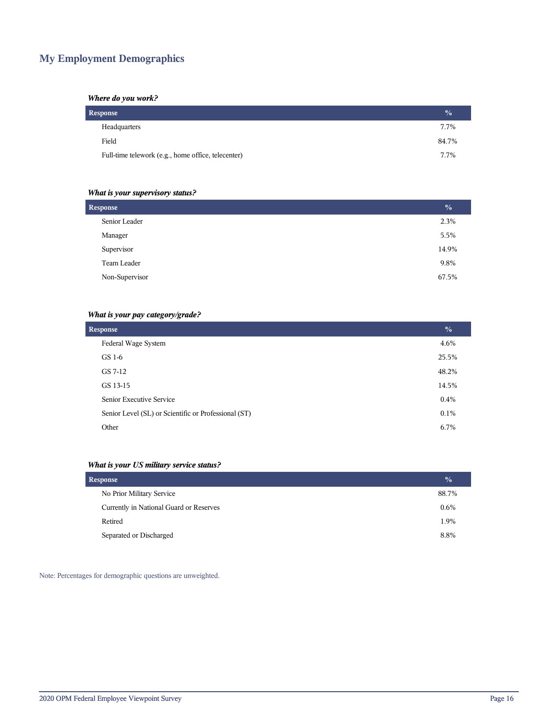# **My Employment Demographics**

#### *Where do you work?*

| <b>Response</b>                                    |       |  |  |  |  |
|----------------------------------------------------|-------|--|--|--|--|
| Headquarters                                       | 7.7%  |  |  |  |  |
| Field                                              | 84.7% |  |  |  |  |
| Full-time telework (e.g., home office, telecenter) | 7.7%  |  |  |  |  |

## *What is your supervisory status?*

| <b>Response</b> |       |  |  |
|-----------------|-------|--|--|
| Senior Leader   | 2.3%  |  |  |
| Manager         | 5.5%  |  |  |
| Supervisor      | 14.9% |  |  |
| Team Leader     | 9.8%  |  |  |
| Non-Supervisor  | 67.5% |  |  |
|                 |       |  |  |

## *What is your pay category/grade?*

| <b>Response</b>                                      |         |  |  |  |  |
|------------------------------------------------------|---------|--|--|--|--|
| Federal Wage System                                  | 4.6%    |  |  |  |  |
| GS 1-6                                               | 25.5%   |  |  |  |  |
| GS 7-12                                              | 48.2%   |  |  |  |  |
| GS 13-15                                             | 14.5%   |  |  |  |  |
| Senior Executive Service                             | 0.4%    |  |  |  |  |
| Senior Level (SL) or Scientific or Professional (ST) | $0.1\%$ |  |  |  |  |
| Other                                                | 6.7%    |  |  |  |  |

## *What is your US military service status?*

| <b>Response</b>                         |         |  |  |
|-----------------------------------------|---------|--|--|
| No Prior Military Service               | 88.7%   |  |  |
| Currently in National Guard or Reserves | $0.6\%$ |  |  |
| Retired                                 | 1.9%    |  |  |
| Separated or Discharged                 | 8.8%    |  |  |

Note: Percentages for demographic questions are unweighted.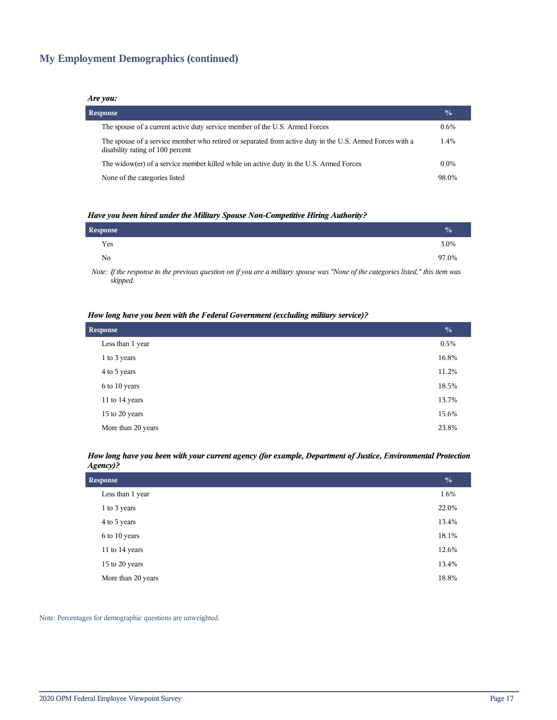# **My Employment Demographics (continued)**

#### *Are you:*

| <b>Response</b>                                                                                                                              | $\frac{0}{0}$ |
|----------------------------------------------------------------------------------------------------------------------------------------------|---------------|
| The spouse of a current active duty service member of the U.S. Armed Forces                                                                  | $0.6\%$       |
| The spouse of a service member who retired or separated from active duty in the U.S. Armed Forces with a<br>disability rating of 100 percent | 1.4%          |
| The widow(er) of a service member killed while on active duty in the U.S. Armed Forces                                                       | $0.0\%$       |
| None of the categories listed                                                                                                                | 98.0%         |

#### *Have you been hired under the Military Spouse Non-Competitive Hiring Authority?*

| Response |                                                                                                                 |  |       |  |   | $\frac{0}{0}$ |
|----------|-----------------------------------------------------------------------------------------------------------------|--|-------|--|---|---------------|
| Yes      |                                                                                                                 |  |       |  |   | 3.0%          |
| No       |                                                                                                                 |  |       |  |   | 97.0%         |
|          | the contract of the contract of the contract of the contract of the contract of the contract of the contract of |  | $  -$ |  | . |               |

*Note: If the response to the previous question on if you are a military spouse was "None of the categories listed," this item was skipped.*

#### *How long have you been with the Federal Government (excluding military service)?*

| <b>Response</b>    |       |
|--------------------|-------|
| Less than 1 year   | 0.5%  |
| 1 to 3 years       | 16.8% |
| 4 to 5 years       | 11.2% |
| 6 to 10 years      | 18.5% |
| 11 to 14 years     | 13.7% |
| 15 to 20 years     | 15.6% |
| More than 20 years | 23.8% |

#### *How long have you been with your current agency (for example, Department of Justice, Environmental Protection Agency)?*

| <b>Response</b>    |       |
|--------------------|-------|
| Less than 1 year   | 1.6%  |
| 1 to 3 years       | 22.0% |
| 4 to 5 years       | 13.4% |
| 6 to 10 years      | 18.1% |
| 11 to 14 years     | 12.6% |
| 15 to 20 years     | 13.4% |
| More than 20 years | 18.8% |

Note: Percentages for demographic questions are unweighted.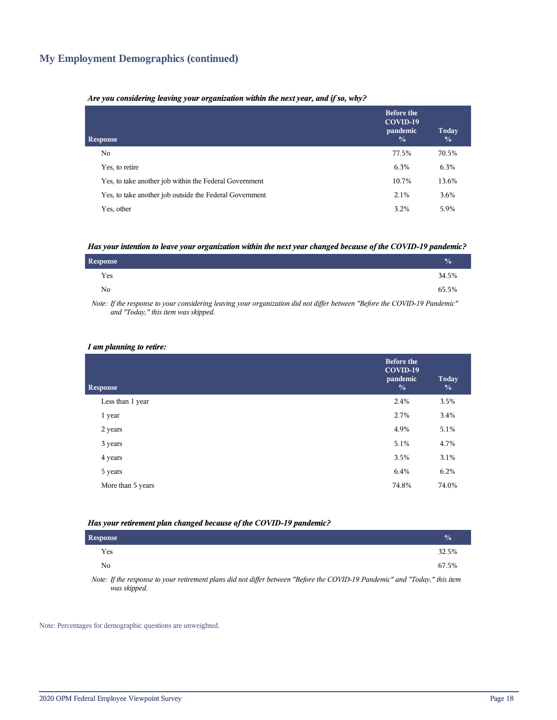# **My Employment Demographics (continued)**

#### *Are you considering leaving your organization within the next year, and if so, why?*

| <b>Response</b>                                         | <b>Before the</b><br>COVID-19<br>pandemic<br>$\frac{0}{0}$ | Today<br>$\frac{0}{0}$ |
|---------------------------------------------------------|------------------------------------------------------------|------------------------|
| No.                                                     | 77.5%                                                      | 70.5%                  |
| Yes, to retire                                          | 6.3%                                                       | 6.3%                   |
| Yes, to take another job within the Federal Government  | 10.7%                                                      | 13.6%                  |
| Yes, to take another job outside the Federal Government | 2.1%                                                       | 3.6%                   |
| Yes, other                                              | 3.2%                                                       | 5.9%                   |

#### *Has your intention to leave your organization within the next year changed because of the COVID-19 pandemic?*

| <b>Response</b> | $\frac{0}{0}$ |
|-----------------|---------------|
| Yes             | 34.5%         |
| No.             | 65.5%         |

*Note: If the response to your considering leaving your organization did not differ between "Before the COVID-19 Pandemic" and "Today," this item was skipped.*

#### *I am planning to retire:*

| <b>Response</b>   | <b>Before the</b><br>COVID-19<br>pandemic<br>$\frac{0}{0}$ | <b>Today</b><br>$\frac{0}{0}$ |
|-------------------|------------------------------------------------------------|-------------------------------|
| Less than 1 year  | 2.4%                                                       | 3.5%                          |
| 1 year            | 2.7%                                                       | 3.4%                          |
| 2 years           | 4.9%                                                       | 5.1%                          |
| 3 years           | 5.1%                                                       | 4.7%                          |
| 4 years           | 3.5%                                                       | 3.1%                          |
| 5 years           | 6.4%                                                       | 6.2%                          |
| More than 5 years | 74.8%                                                      | 74.0%                         |
|                   |                                                            |                               |

#### *Has your retirement plan changed because of the COVID-19 pandemic?*

| <b>Response</b> |  |  |  |                                                                                                                      |  | $\frac{0}{0}$ |
|-----------------|--|--|--|----------------------------------------------------------------------------------------------------------------------|--|---------------|
| Yes             |  |  |  |                                                                                                                      |  | 32.5%         |
| N <sub>0</sub>  |  |  |  |                                                                                                                      |  | 67.5%         |
| .               |  |  |  | التناسية المستواد والمستحقق والمستحدث والمتحدث والمستحدث والمستحدث والمستحدث والمستحدث والمستحدث والمستحدث والمستحدث |  |               |

*Note: If the response to your retirement plans did not differ between "Before the COVID-19 Pandemic" and "Today," this item was skipped.*

Note: Percentages for demographic questions are unweighted.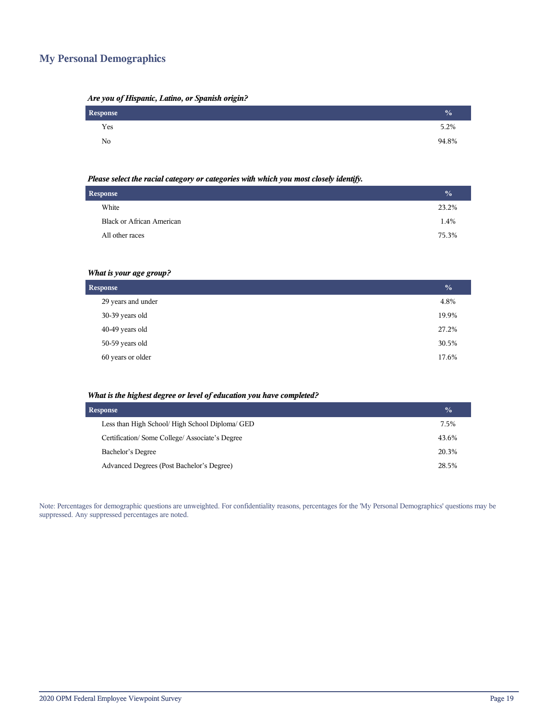## **My Personal Demographics**

| Are you of Hispanic, Latino, or Spanish origin? |  |  |  |
|-------------------------------------------------|--|--|--|
|                                                 |  |  |  |

| Response | $\frac{0}{0}$ |
|----------|---------------|
| Yes      | 5.2%          |
| No       | 94.8%         |

#### *Please select the racial category or categories with which you most closely identify.*

| <b>Response</b>                  | $\frac{0}{0}$ |
|----------------------------------|---------------|
| White                            | 23.2%         |
| <b>Black or African American</b> | 1.4%          |
| All other races                  | 75.3%         |
|                                  |               |

## *What is your age group?*

| <b>Response</b>    | $\frac{0}{0}$ |
|--------------------|---------------|
| 29 years and under | 4.8%          |
| 30-39 years old    | 19.9%         |
| 40-49 years old    | 27.2%         |
| 50-59 years old    | 30.5%         |
| 60 years or older  | 17.6%         |

#### *What is the highest degree or level of education you have completed?*

| <b>Response</b>                                 |       |  |
|-------------------------------------------------|-------|--|
| Less than High School/ High School Diploma/ GED | 7.5%  |  |
| Certification/Some College/Associate's Degree   | 43.6% |  |
| Bachelor's Degree                               | 20.3% |  |
| Advanced Degrees (Post Bachelor's Degree)       | 28.5% |  |

Note: Percentages for demographic questions are unweighted. For confidentiality reasons, percentages for the 'My Personal Demographics' questions may be suppressed. Any suppressed percentages are noted.